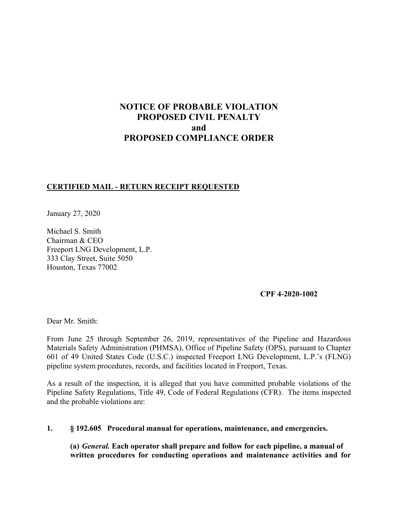# **NOTICE OF PROBABLE VIOLATION PROPOSED CIVIL PENALTY and PROPOSED COMPLIANCE ORDER**

### **CERTIFIED MAIL - RETURN RECEIPT REQUESTED**

January 27, 2020

Michael S. Smith Chairman & CEO Freeport LNG Development, L.P. 333 Clay Street, Suite 5050 Houston, Texas 77002

### **CPF 4-2020-1002**

Dear Mr. Smith:

From June 25 through September 26, 2019, representatives of the Pipeline and Hazardous Materials Safety Administration (PHMSA), Office of Pipeline Safety (OPS), pursuant to Chapter 601 of 49 United States Code (U.S.C.) inspected Freeport LNG Development, L.P.'s (FLNG) pipeline system procedures, records, and facilities located in Freeport, Texas.

As a result of the inspection, it is alleged that you have committed probable violations of the Pipeline Safety Regulations, Title 49, Code of Federal Regulations (CFR). The items inspected and the probable violations are:

**1. § 192.605 Procedural manual for operations, maintenance, and emergencies.** 

**(a)** *General.* **Each operator shall prepare and follow for each pipeline, a manual of written procedures for conducting operations and maintenance activities and for**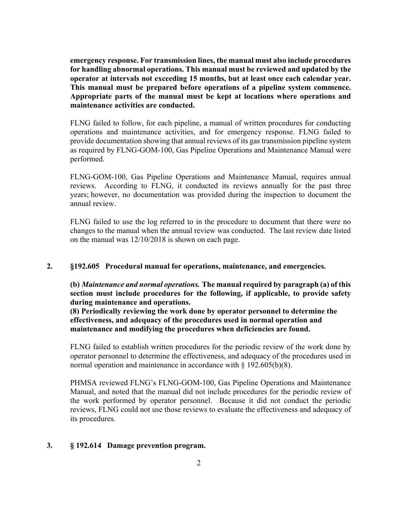**emergency response. For transmission lines, the manual must also include procedures for handling abnormal operations. This manual must be reviewed and updated by the operator at intervals not exceeding 15 months, but at least once each calendar year. This manual must be prepared before operations of a pipeline system commence. Appropriate parts of the manual must be kept at locations where operations and maintenance activities are conducted.** 

FLNG failed to follow, for each pipeline, a manual of written procedures for conducting operations and maintenance activities, and for emergency response. FLNG failed to provide documentation showing that annual reviews of its gas transmission pipeline system as required by FLNG-GOM-100, Gas Pipeline Operations and Maintenance Manual were performed.

FLNG-GOM-100, Gas Pipeline Operations and Maintenance Manual, requires annual reviews. According to FLNG, it conducted its reviews annually for the past three years; however, no documentation was provided during the inspection to document the annual review.

FLNG failed to use the log referred to in the procedure to document that there were no changes to the manual when the annual review was conducted. The last review date listed on the manual was 12/10/2018 is shown on each page.

#### **2. §192.605 Procedural manual for operations, maintenance, and emergencies.**

**(b)** *Maintenance and normal operations.* **The manual required by paragraph (a) of this section must include procedures for the following, if applicable, to provide safety during maintenance and operations.** 

**(8) Periodically reviewing the work done by operator personnel to determine the effectiveness, and adequacy of the procedures used in normal operation and maintenance and modifying the procedures when deficiencies are found.** 

FLNG failed to establish written procedures for the periodic review of the work done by operator personnel to determine the effectiveness, and adequacy of the procedures used in normal operation and maintenance in accordance with § 192.605(b)(8).

PHMSA reviewed FLNG's FLNG-GOM-100, Gas Pipeline Operations and Maintenance Manual, and noted that the manual did not include procedures for the periodic review of the work performed by operator personnel. Because it did not conduct the periodic reviews, FLNG could not use those reviews to evaluate the effectiveness and adequacy of its procedures.

#### **3. § 192.614 Damage prevention program.**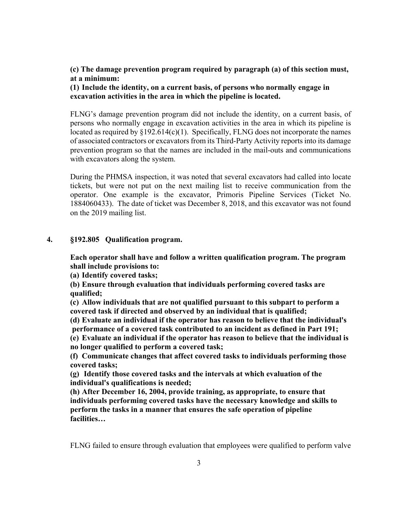**(c) The damage prevention program required by paragraph (a) of this section must, at a minimum:** 

**(1) Include the identity, on a current basis, of persons who normally engage in excavation activities in the area in which the pipeline is located.** 

FLNG's damage prevention program did not include the identity, on a current basis, of persons who normally engage in excavation activities in the area in which its pipeline is located as required by  $\S 192.614(c)(1)$ . Specifically, FLNG does not incorporate the names of associated contractors or excavators from its Third-Party Activity reports into its damage prevention program so that the names are included in the mail-outs and communications with excavators along the system.

During the PHMSA inspection, it was noted that several excavators had called into locate tickets, but were not put on the next mailing list to receive communication from the operator. One example is the excavator, Primoris Pipeline Services (Ticket No. 1884060433). The date of ticket was December 8, 2018, and this excavator was not found on the 2019 mailing list.

### **4. §192.805 Qualification program.**

**Each operator shall have and follow a written qualification program. The program shall include provisions to:** 

**(a) Identify covered tasks;** 

**(b) Ensure through evaluation that individuals performing covered tasks are qualified;** 

**(c) Allow individuals that are not qualified pursuant to this subpart to perform a covered task if directed and observed by an individual that is qualified;** 

**(d) Evaluate an individual if the operator has reason to believe that the individual's performance of a covered task contributed to an incident as defined in Part 191;** 

**(e) Evaluate an individual if the operator has reason to believe that the individual is no longer qualified to perform a covered task;** 

**(f) Communicate changes that affect covered tasks to individuals performing those covered tasks;** 

**(g) Identify those covered tasks and the intervals at which evaluation of the individual's qualifications is needed;** 

**(h) After December 16, 2004, provide training, as appropriate, to ensure that individuals performing covered tasks have the necessary knowledge and skills to perform the tasks in a manner that ensures the safe operation of pipeline facilities…** 

FLNG failed to ensure through evaluation that employees were qualified to perform valve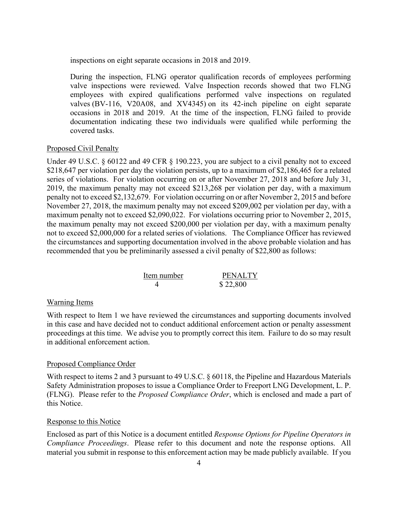inspections on eight separate occasions in 2018 and 2019.

During the inspection, FLNG operator qualification records of employees performing valve inspections were reviewed. Valve Inspection records showed that two FLNG employees with expired qualifications performed valve inspections on regulated valves (BV-116, V20A08, and XV4345) on its 42-inch pipeline on eight separate occasions in 2018 and 2019. At the time of the inspection, FLNG failed to provide documentation indicating these two individuals were qualified while performing the covered tasks.

#### Proposed Civil Penalty

Under 49 U.S.C. § 60122 and 49 CFR § 190.223, you are subject to a civil penalty not to exceed \$218,647 per violation per day the violation persists, up to a maximum of \$2,186,465 for a related series of violations. For violation occurring on or after November 27, 2018 and before July 31, 2019, the maximum penalty may not exceed \$213,268 per violation per day, with a maximum penalty not to exceed \$2,132,679. For violation occurring on or after November 2, 2015 and before November 27, 2018, the maximum penalty may not exceed \$209,002 per violation per day, with a maximum penalty not to exceed \$2,090,022. For violations occurring prior to November 2, 2015, the maximum penalty may not exceed \$200,000 per violation per day, with a maximum penalty not to exceed \$2,000,000 for a related series of violations. The Compliance Officer has reviewed the circumstances and supporting documentation involved in the above probable violation and has recommended that you be preliminarily assessed a civil penalty of \$22,800 as follows:

| Item number | <b>PENALTY</b> |
|-------------|----------------|
|             | \$22,800       |

#### Warning Items

With respect to Item 1 we have reviewed the circumstances and supporting documents involved in this case and have decided not to conduct additional enforcement action or penalty assessment proceedings at this time. We advise you to promptly correct this item. Failure to do so may result in additional enforcement action.

#### Proposed Compliance Order

With respect to items 2 and 3 pursuant to 49 U.S.C. § 60118, the Pipeline and Hazardous Materials Safety Administration proposes to issue a Compliance Order to Freeport LNG Development, L. P. (FLNG). Please refer to the *Proposed Compliance Order*, which is enclosed and made a part of this Notice.

#### Response to this Notice

Enclosed as part of this Notice is a document entitled *Response Options for Pipeline Operators in Compliance Proceedings*. Please refer to this document and note the response options. All material you submit in response to this enforcement action may be made publicly available. If you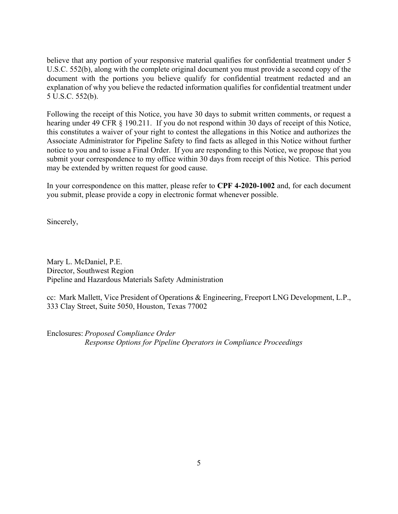believe that any portion of your responsive material qualifies for confidential treatment under 5 U.S.C. 552(b), along with the complete original document you must provide a second copy of the document with the portions you believe qualify for confidential treatment redacted and an explanation of why you believe the redacted information qualifies for confidential treatment under 5 U.S.C. 552(b).

Following the receipt of this Notice, you have 30 days to submit written comments, or request a hearing under 49 CFR § 190.211. If you do not respond within 30 days of receipt of this Notice, this constitutes a waiver of your right to contest the allegations in this Notice and authorizes the Associate Administrator for Pipeline Safety to find facts as alleged in this Notice without further notice to you and to issue a Final Order. If you are responding to this Notice, we propose that you submit your correspondence to my office within 30 days from receipt of this Notice. This period may be extended by written request for good cause.

In your correspondence on this matter, please refer to **CPF 4-2020-1002** and, for each document you submit, please provide a copy in electronic format whenever possible.

Sincerely,

Mary L. McDaniel, P.E. Director, Southwest Region Pipeline and Hazardous Materials Safety Administration

cc: Mark Mallett, Vice President of Operations & Engineering, Freeport LNG Development, L.P., 333 Clay Street, Suite 5050, Houston, Texas 77002

Enclosures: *Proposed Compliance Order Response Options for Pipeline Operators in Compliance Proceedings*